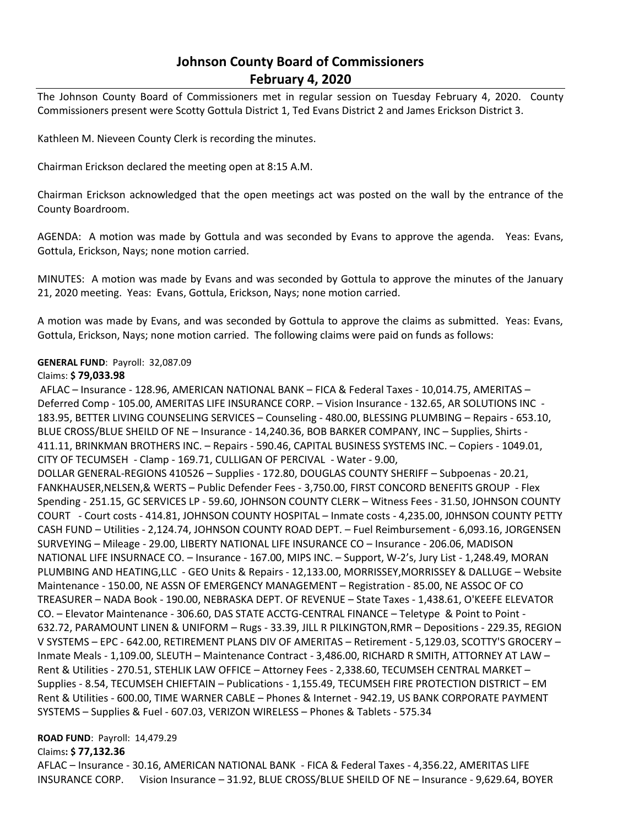# **Johnson County Board of Commissioners February 4, 2020**

The Johnson County Board of Commissioners met in regular session on Tuesday February 4, 2020. County Commissioners present were Scotty Gottula District 1, Ted Evans District 2 and James Erickson District 3.

Kathleen M. Nieveen County Clerk is recording the minutes.

Chairman Erickson declared the meeting open at 8:15 A.M.

Chairman Erickson acknowledged that the open meetings act was posted on the wall by the entrance of the County Boardroom.

AGENDA: A motion was made by Gottula and was seconded by Evans to approve the agenda. Yeas: Evans, Gottula, Erickson, Nays; none motion carried.

MINUTES: A motion was made by Evans and was seconded by Gottula to approve the minutes of the January 21, 2020 meeting. Yeas: Evans, Gottula, Erickson, Nays; none motion carried.

A motion was made by Evans, and was seconded by Gottula to approve the claims as submitted. Yeas: Evans, Gottula, Erickson, Nays; none motion carried. The following claims were paid on funds as follows:

## **GENERAL FUND**: Payroll: 32,087.09

## Claims: **\$ 79,033.98**

AFLAC – Insurance - 128.96, AMERICAN NATIONAL BANK – FICA & Federal Taxes - 10,014.75, AMERITAS – Deferred Comp - 105.00, AMERITAS LIFE INSURANCE CORP. - Vision Insurance - 132.65, AR SOLUTIONS INC -183.95, BETTER LIVING COUNSELING SERVICES – Counseling - 480.00, BLESSING PLUMBING – Repairs - 653.10, BLUE CROSS/BLUE SHEILD OF NE – Insurance - 14,240.36, BOB BARKER COMPANY, INC – Supplies, Shirts - 411.11, BRINKMAN BROTHERS INC. – Repairs - 590.46, CAPITAL BUSINESS SYSTEMS INC. – Copiers - 1049.01, CITY OF TECUMSEH - Clamp - 169.71, CULLIGAN OF PERCIVAL - Water - 9.00, DOLLAR GENERAL-REGIONS 410526 – Supplies - 172.80, DOUGLAS COUNTY SHERIFF – Subpoenas - 20.21, FANKHAUSER,NELSEN,& WERTS – Public Defender Fees - 3,750.00, FIRST CONCORD BENEFITS GROUP - Flex Spending - 251.15, GC SERVICES LP - 59.60, JOHNSON COUNTY CLERK – Witness Fees - 31.50, JOHNSON COUNTY COURT - Court costs - 414.81, JOHNSON COUNTY HOSPITAL – Inmate costs - 4,235.00, J0HNSON COUNTY PETTY CASH FUND – Utilities - 2,124.74, JOHNSON COUNTY ROAD DEPT. – Fuel Reimbursement - 6,093.16, JORGENSEN SURVEYING – Mileage - 29.00, LIBERTY NATIONAL LIFE INSURANCE CO – Insurance - 206.06, MADISON NATIONAL LIFE INSURNACE CO. – Insurance - 167.00, MIPS INC. – Support, W-2's, Jury List - 1,248.49, MORAN PLUMBING AND HEATING,LLC - GEO Units & Repairs - 12,133.00, MORRISSEY,MORRISSEY & DALLUGE – Website Maintenance - 150.00, NE ASSN OF EMERGENCY MANAGEMENT – Registration - 85.00, NE ASSOC OF CO TREASURER – NADA Book - 190.00, NEBRASKA DEPT. OF REVENUE – State Taxes - 1,438.61, O'KEEFE ELEVATOR CO. – Elevator Maintenance - 306.60, DAS STATE ACCTG-CENTRAL FINANCE – Teletype & Point to Point - 632.72, PARAMOUNT LINEN & UNIFORM – Rugs - 33.39, JILL R PILKINGTON,RMR – Depositions - 229.35, REGION V SYSTEMS – EPC - 642.00, RETIREMENT PLANS DIV OF AMERITAS – Retirement - 5,129.03, SCOTTY'S GROCERY – Inmate Meals - 1,109.00, SLEUTH – Maintenance Contract - 3,486.00, RICHARD R SMITH, ATTORNEY AT LAW – Rent & Utilities - 270.51, STEHLIK LAW OFFICE – Attorney Fees - 2,338.60, TECUMSEH CENTRAL MARKET – Supplies - 8.54, TECUMSEH CHIEFTAIN – Publications - 1,155.49, TECUMSEH FIRE PROTECTION DISTRICT – EM Rent & Utilities - 600.00, TIME WARNER CABLE – Phones & Internet - 942.19, US BANK CORPORATE PAYMENT SYSTEMS – Supplies & Fuel - 607.03, VERIZON WIRELESS – Phones & Tablets - 575.34

## **ROAD FUND**: Payroll: 14,479.29

Claims**: \$ 77,132.36**

AFLAC – Insurance - 30.16, AMERICAN NATIONAL BANK - FICA & Federal Taxes - 4,356.22, AMERITAS LIFE INSURANCE CORP. Vision Insurance – 31.92, BLUE CROSS/BLUE SHEILD OF NE – Insurance - 9,629.64, BOYER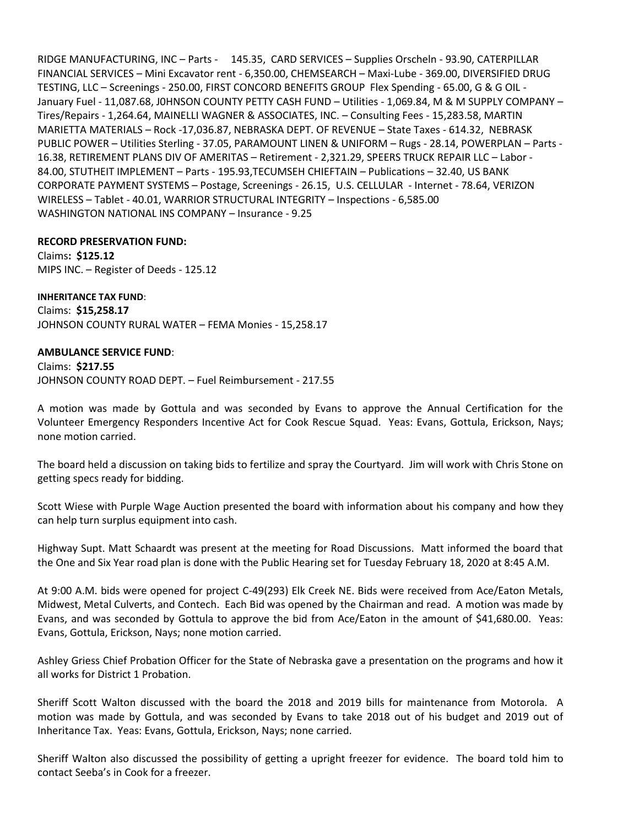RIDGE MANUFACTURING, INC – Parts - 145.35, CARD SERVICES – Supplies Orscheln - 93.90, CATERPILLAR FINANCIAL SERVICES – Mini Excavator rent - 6,350.00, CHEMSEARCH – Maxi-Lube - 369.00, DIVERSIFIED DRUG TESTING, LLC – Screenings - 250.00, FIRST CONCORD BENEFITS GROUP Flex Spending - 65.00, G & G OIL - January Fuel - 11,087.68, J0HNSON COUNTY PETTY CASH FUND – Utilities - 1,069.84, M & M SUPPLY COMPANY – Tires/Repairs - 1,264.64, MAINELLI WAGNER & ASSOCIATES, INC. – Consulting Fees - 15,283.58, MARTIN MARIETTA MATERIALS – Rock -17,036.87, NEBRASKA DEPT. OF REVENUE – State Taxes - 614.32, NEBRASK PUBLIC POWER – Utilities Sterling - 37.05, PARAMOUNT LINEN & UNIFORM – Rugs - 28.14, POWERPLAN – Parts - 16.38, RETIREMENT PLANS DIV OF AMERITAS – Retirement - 2,321.29, SPEERS TRUCK REPAIR LLC – Labor - 84.00, STUTHEIT IMPLEMENT – Parts - 195.93,TECUMSEH CHIEFTAIN – Publications – 32.40, US BANK CORPORATE PAYMENT SYSTEMS – Postage, Screenings - 26.15, U.S. CELLULAR - Internet - 78.64, VERIZON WIRELESS – Tablet - 40.01, WARRIOR STRUCTURAL INTEGRITY – Inspections - 6,585.00 WASHINGTON NATIONAL INS COMPANY – Insurance - 9.25

## **RECORD PRESERVATION FUND:**

Claims**: \$125.12** MIPS INC. – Register of Deeds - 125.12

**INHERITANCE TAX FUND**: Claims: **\$15,258.17** JOHNSON COUNTY RURAL WATER – FEMA Monies - 15,258.17

## **AMBULANCE SERVICE FUND**:

Claims: **\$217.55** JOHNSON COUNTY ROAD DEPT. – Fuel Reimbursement - 217.55

A motion was made by Gottula and was seconded by Evans to approve the Annual Certification for the Volunteer Emergency Responders Incentive Act for Cook Rescue Squad. Yeas: Evans, Gottula, Erickson, Nays; none motion carried.

The board held a discussion on taking bids to fertilize and spray the Courtyard. Jim will work with Chris Stone on getting specs ready for bidding.

Scott Wiese with Purple Wage Auction presented the board with information about his company and how they can help turn surplus equipment into cash.

Highway Supt. Matt Schaardt was present at the meeting for Road Discussions. Matt informed the board that the One and Six Year road plan is done with the Public Hearing set for Tuesday February 18, 2020 at 8:45 A.M.

At 9:00 A.M. bids were opened for project C-49(293) Elk Creek NE. Bids were received from Ace/Eaton Metals, Midwest, Metal Culverts, and Contech. Each Bid was opened by the Chairman and read. A motion was made by Evans, and was seconded by Gottula to approve the bid from Ace/Eaton in the amount of \$41,680.00. Yeas: Evans, Gottula, Erickson, Nays; none motion carried.

Ashley Griess Chief Probation Officer for the State of Nebraska gave a presentation on the programs and how it all works for District 1 Probation.

Sheriff Scott Walton discussed with the board the 2018 and 2019 bills for maintenance from Motorola. A motion was made by Gottula, and was seconded by Evans to take 2018 out of his budget and 2019 out of Inheritance Tax. Yeas: Evans, Gottula, Erickson, Nays; none carried.

Sheriff Walton also discussed the possibility of getting a upright freezer for evidence. The board told him to contact Seeba's in Cook for a freezer.